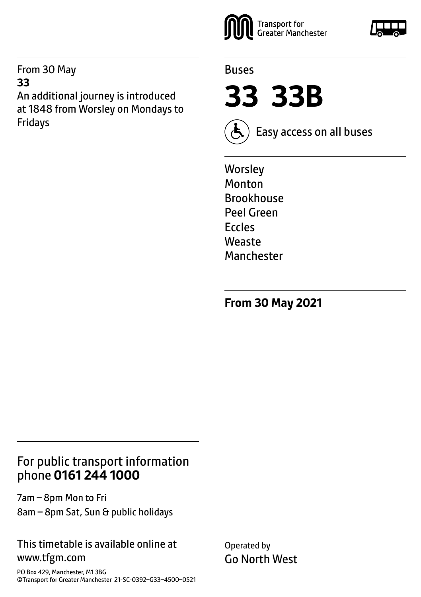From 30 May **33** An additional journey is introduced at 1848 from Worsley on Mondays to Fridays



### Buses

**33 33B**



Easy access on all buses

**Worsley** Monton **Brookhouse** Peel Green Eccles Weaste Manchester

**From 30 May 2021**

# For public transport information phone **0161 244 1000**

7am – 8pm Mon to Fri 8am – 8pm Sat, Sun & public holidays

### This timetable is available online at www.tfgm.com

PO Box 429, Manchester, M1 3BG ©Transport for Greater Manchester 21-SC-0392–G33–4500–0521 Operated by Go North West

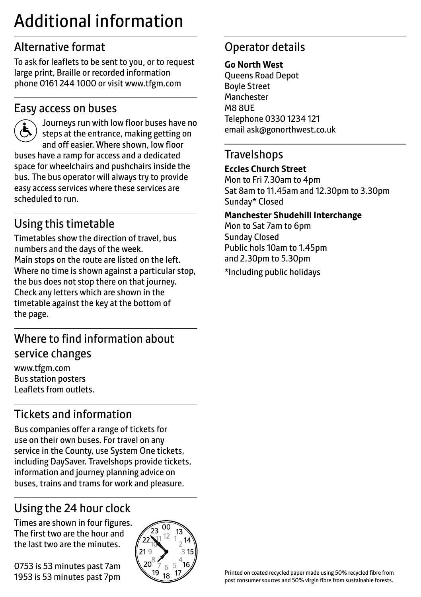# Additional information

# Alternative format

To ask for leaflets to be sent to you, or to request large print, Braille or recorded information phone 0161 244 1000 or visit www.tfgm.com

# Easy access on buses



 Journeys run with low floor buses have no steps at the entrance, making getting on and off easier. Where shown, low floor buses have a ramp for access and a dedicated space for wheelchairs and pushchairs inside the bus. The bus operator will always try to provide easy access services where these services are scheduled to run.

# Using this timetable

Timetables show the direction of travel, bus numbers and the days of the week. Main stops on the route are listed on the left. Where no time is shown against a particular stop, the bus does not stop there on that journey. Check any letters which are shown in the timetable against the key at the bottom of the page.

# Where to find information about service changes

www.tfgm.com Bus station posters Leaflets from outlets.

# Tickets and information

Bus companies offer a range of tickets for use on their own buses. For travel on any service in the County, use System One tickets, including DaySaver. Travelshops provide tickets, information and journey planning advice on buses, trains and trams for work and pleasure.

# Using the 24 hour clock

Times are shown in four figures. The first two are the hour and the last two are the minutes.

0753 is 53 minutes past 7am 1953 is 53 minutes past 7pm



# Operator details

#### **Go North West**

Queens Road Depot Boyle Street **Manchester** M8 8UE Telephone 0330 1234 121 email ask@gonorthwest.co.uk

# **Travelshops**

#### **Eccles Church Street**

Mon to Fri 7.30am to 4pm Sat 8am to 11.45am and 12.30pm to 3.30pm Sunday\* Closed

#### **Manchester Shudehill Interchange**

Mon to Sat 7am to 6pm Sunday Closed Public hols 10am to 1.45pm and 2.30pm to 5.30pm

\*Including public holidays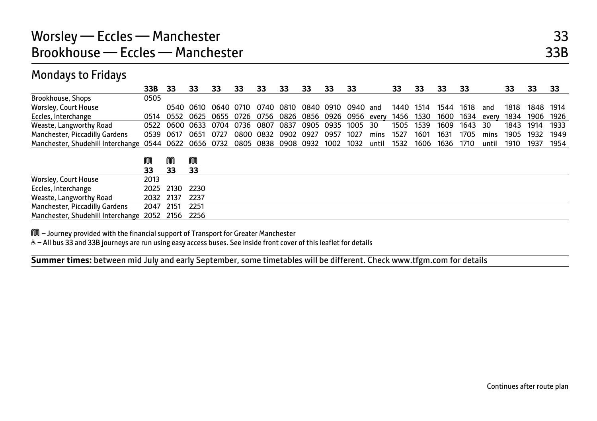### Mondays to Fridays

|                                   | 33B       | 33                  | 33   | 33             | 33   | 33                  | 33   | 33   | 33   | 33                 |       | 33   | 33   | 33   | 33   |       | 33   | 33   | 33   |
|-----------------------------------|-----------|---------------------|------|----------------|------|---------------------|------|------|------|--------------------|-------|------|------|------|------|-------|------|------|------|
| Brookhouse, Shops                 | 0505      |                     |      |                |      |                     |      |      |      |                    |       |      |      |      |      |       |      |      |      |
| <b>Worsley, Court House</b>       |           |                     |      | 0540 0610 0640 | 0710 | 0740                | 0810 |      |      | 0840 0910 0940 and |       | 1440 | 1514 | 1544 | 1618 | and   | 1818 | 1848 | 1914 |
| Eccles, Interchange               | 0514      | 0552                | 0625 | 0655           | 0726 | 0756                | 0826 | 0856 |      | 0926 0956          | every | 1456 | 1530 | 1600 | 1634 | every | 1834 | 1906 | 1926 |
| Weaste, Langworthy Road           | 0522      | 0600                | 0633 | 0704           | 0736 | 0807                | 0837 | 0905 | 0935 | 1005               | 30    | 1505 | 1539 | 1609 | 1643 | 30    | 1843 | 1914 | 1933 |
| Manchester, Piccadilly Gardens    | 0539      | 0617                | 0651 | 0727           | 0800 | 0832                | 0902 | 0927 | 0957 | 1027               | mins  | 1527 | 1601 | 1631 | 1705 | mins  | 1905 | 1932 | 1949 |
| Manchester, Shudehill Interchange |           | 0544 0622 0656 0732 |      |                |      | 0805 0838 0908 0932 |      |      |      | 1002 1032          | until | 1532 | 1606 | 1636 | 1710 | until | 1910 | 1937 | 1954 |
|                                   | M         | M                   | M    |                |      |                     |      |      |      |                    |       |      |      |      |      |       |      |      |      |
|                                   | 33        | 33                  | 33   |                |      |                     |      |      |      |                    |       |      |      |      |      |       |      |      |      |
| <b>Worsley, Court House</b>       | 2013      |                     |      |                |      |                     |      |      |      |                    |       |      |      |      |      |       |      |      |      |
| Eccles, Interchange               | 2025      | 2130                | 2230 |                |      |                     |      |      |      |                    |       |      |      |      |      |       |      |      |      |
| Weaste, Langworthy Road           | 2032      | 2137                | 2237 |                |      |                     |      |      |      |                    |       |      |      |      |      |       |      |      |      |
| Manchester, Piccadilly Gardens    | 2047      | 2151                | 2251 |                |      |                     |      |      |      |                    |       |      |      |      |      |       |      |      |      |
| Manchester, Shudehill Interchange | 2052 2156 |                     | 2256 |                |      |                     |      |      |      |                    |       |      |      |      |      |       |      |      |      |

M – Journey provided with the financial support of Transport for Greater Manchester

W– All bus 33 and 33B journeys are run using easy access buses. See inside front cover of this leaflet for details

**Summer times:** between mid July and early September, some timetables will be different. Check www.tfgm.com for details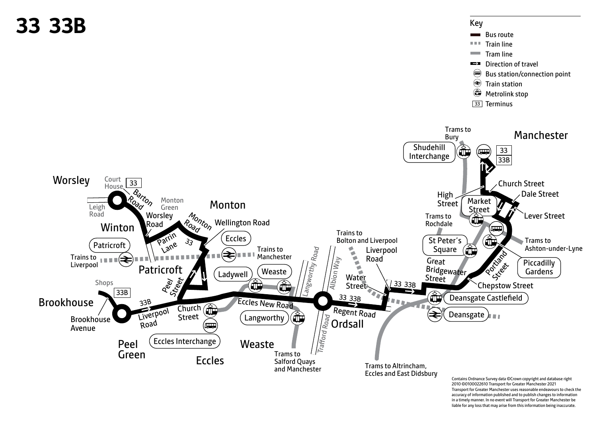

Transport for Greater Manchester uses reasonable endeavours to check the accuracy of information published and to publish changes to information in a timely manner. In no event will Transport for Greater Manchester be liable for any loss that may arise from this information being inaccurate.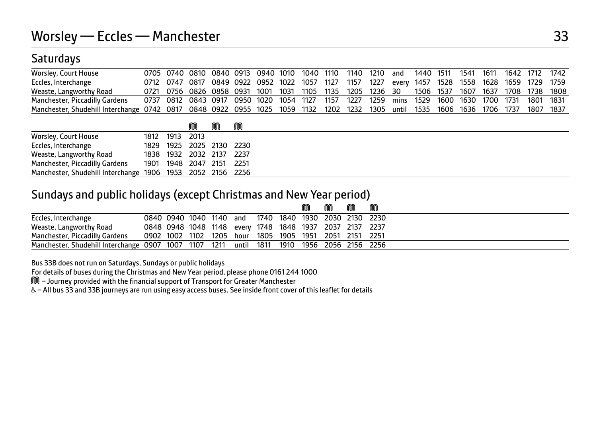# **Saturdays**

| <b>Worsley, Court House</b>                                                                                                       |  |  |  |  | 0705 0740 0810 0840 0913 0940 1010 1040 1110 1140 1210 and 1440 1511 1541 1611 1642 1712 1742   |  |  |  |  |  |
|-----------------------------------------------------------------------------------------------------------------------------------|--|--|--|--|-------------------------------------------------------------------------------------------------|--|--|--|--|--|
| Eccles, Interchange                                                                                                               |  |  |  |  | 0712 0747 0817 0849 0922 0952 1022 1057 1127 1157 1227 every 1457 1528 1558 1628 1659 1729 1759 |  |  |  |  |  |
| Weaste, Langworthy Road                                                                                                           |  |  |  |  | 0721 0756 0826 0858 0931 1001 1031 1105 1135 1205 1236 30 1506 1537 1607 1637 1708 1738 1808    |  |  |  |  |  |
| Manchester, Piccadilly Gardens                                                                                                    |  |  |  |  | 0737 0812 0843 0917 0950 1020 1054 1127 1157 1227 1259 mins 1529 1600 1630 1700 1731 1801 1831  |  |  |  |  |  |
| Manchester, Shudehill Interchange 0742 0817 0848 0922 0955 1025 1059 1132 1202 1232 1305 until 1535 1606 1636 1706 1737 1807 1837 |  |  |  |  |                                                                                                 |  |  |  |  |  |

|                                                            |                | ⋒                        | M | M |  |
|------------------------------------------------------------|----------------|--------------------------|---|---|--|
| <b>Worsley, Court House</b>                                | 1812 1913 2013 |                          |   |   |  |
| Eccles, Interchange                                        |                | 1829 1925 2025 2130 2230 |   |   |  |
| Weaste, Langworthy Road                                    |                | 1838 1932 2032 2137 2237 |   |   |  |
| Manchester, Piccadilly Gardens 1901 1948 2047 2151 2251    |                |                          |   |   |  |
| Manchester, Shudehill Interchange 1906 1953 2052 2156 2256 |                |                          |   |   |  |

### Sundays and public holidays (except Christmas and New Year period)

|                                                                                           |  |  |  | M | M | M | M                                                       |
|-------------------------------------------------------------------------------------------|--|--|--|---|---|---|---------------------------------------------------------|
| Eccles, Interchange                                                                       |  |  |  |   |   |   | 0840 0940 1040 1140 and 1740 1840 1930 2030 2130 2230   |
| Weaste, Langworthy Road                                                                   |  |  |  |   |   |   | 0848 0948 1048 1148 every 1748 1848 1937 2037 2137 2237 |
| Manchester, Piccadilly Gardens 0902 1002 1102 1205 hour 1805 1905 1951 2051 2151 2251     |  |  |  |   |   |   |                                                         |
| Manchester, Shudehill Interchange 0907 1007 1107 1211 until 1811 1910 1956 2056 2156 2256 |  |  |  |   |   |   |                                                         |

Bus 33B does not run on Saturdays, Sundays or public holidays

For details of buses during the Christmas and New Year period, please phone 0161 244 1000

M – Journey provided with the financial support of Transport for Greater Manchester

W– All bus 33 and 33B journeys are run using easy access buses. See inside front cover of this leaflet for details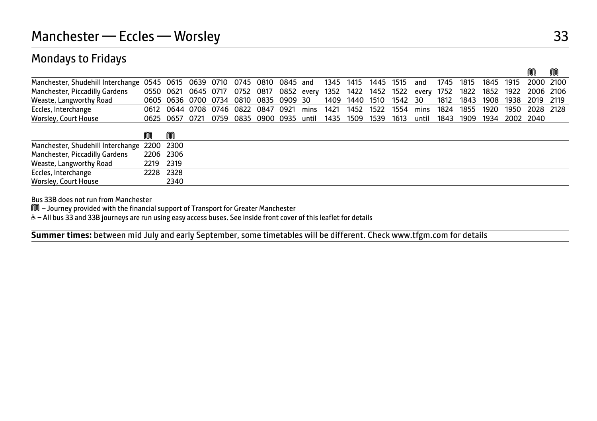### Mondays to Fridays

|                                                                                                                                |                                       |  |  |  |                        |  |  |                                                                                             |  | M                                                                                                | M |
|--------------------------------------------------------------------------------------------------------------------------------|---------------------------------------|--|--|--|------------------------|--|--|---------------------------------------------------------------------------------------------|--|--------------------------------------------------------------------------------------------------|---|
| Manchester, Shudehill Interchange 0545 0615 0639 0710 0745 0810 0845 and 1345 1415 1445 1515 and 1745 1815 1845 1915 2000 2100 |                                       |  |  |  |                        |  |  |                                                                                             |  |                                                                                                  |   |
| Manchester, Piccadilly Gardens                                                                                                 |                                       |  |  |  |                        |  |  |                                                                                             |  | 0550 0621 0645 0717 0752 0817 0852 every 1352 1422 1452 1522 every 1752 1822 1852 1922 2006 2106 |   |
| Weaste, Langworthy Road                                                                                                        | 0605 0636 0700 0734 0810 0835 0909 30 |  |  |  | 1409 1440 1510 1542 30 |  |  |                                                                                             |  | 1812 1843 1908 1938 2019 2119                                                                    |   |
| Eccles, Interchange                                                                                                            |                                       |  |  |  |                        |  |  |                                                                                             |  | 0612 0644 0708 0746 0822 0847 0921 mins 1421 1452 1522 1554 mins 1824 1855 1920 1950 2028 2128   |   |
| Worsley, Court House                                                                                                           |                                       |  |  |  |                        |  |  | 0625 0657 0721 0759 0835 0900 0935 until 1435 1509 1539 1613 until 1843 1909 1934 2002 2040 |  |                                                                                                  |   |
|                                                                                                                                | M                                     |  |  |  |                        |  |  |                                                                                             |  |                                                                                                  |   |
| Manchester Shudebill Interspange 2200 2200                                                                                     |                                       |  |  |  |                        |  |  |                                                                                             |  |                                                                                                  |   |

| Manchester, Shudehill Interchange 2200 2300 |           |      |
|---------------------------------------------|-----------|------|
| Manchester, Piccadilly Gardens              | 2206 2306 |      |
| Weaste, Langworthy Road                     | 2219 2319 |      |
| Eccles, Interchange                         | 2228 2328 |      |
| Worsley, Court House                        |           | 2340 |

Bus 33B does not run from Manchester

M – Journey provided with the financial support of Transport for Greater Manchester

W– All bus 33 and 33B journeys are run using easy access buses. See inside front cover of this leaflet for details

**Summer times:** between mid July and early September, some timetables will be different. Check www.tfgm.com for details